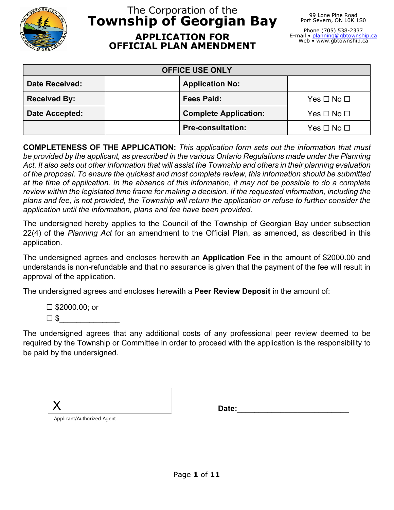

# The Corporation of the **Township of Georgian Bay APPLICATION FOR OFFICIAL PLAN AMENDMENT**

99 Lone Pine Road Port Severn, ON LOK 1S0

Phone (705) 538-2337 E-mail • <u>[planning@gbtownship.ca](mailto:planning@gbtownship.ca)</u><br>Web • www.gbtownship.ca

| <b>OFFICE USE ONLY</b> |                              |                      |
|------------------------|------------------------------|----------------------|
| <b>Date Received:</b>  | <b>Application No:</b>       |                      |
| <b>Received By:</b>    | <b>Fees Paid:</b>            | $Yes \Box No \Box$   |
| Date Accepted:         | <b>Complete Application:</b> | Yes $\Box$ No $\Box$ |
|                        | <b>Pre-consultation:</b>     | Yes □ No □           |

**COMPLETENESS OF THE APPLICATION:** *This application form sets out the information that must be provided by the applicant, as prescribed in the various Ontario Regulations made under the Planning Act. It also sets out other information that will assist the Township and others in their planning evaluation of the proposal. To ensure the quickest and most complete review, this information should be submitted at the time of application. In the absence of this information, it may not be possible to do a complete review within the legislated time frame for making a decision. If the requested information, including the plans and fee, is not provided, the Township will return the application or refuse to further consider the application until the information, plans and fee have been provided.*

The undersigned hereby applies to the Council of the Township of Georgian Bay under subsection 22(4) of the *Planning Act* for an amendment to the Official Plan, as amended, as described in this application.

The undersigned agrees and encloses herewith an **Application Fee** in the amount of \$2000.00 and understands is non-refundable and that no assurance is given that the payment of the fee will result in approval of the application.

The undersigned agrees and encloses herewith a **Peer Review Deposit** in the amount of:

☐ \$2000.00; or  $\Box$  \$

The undersigned agrees that any additional costs of any professional peer review deemed to be required by the Township or Committee in order to proceed with the application is the responsibility to be paid by the undersigned.

X Applicant/Authorized Agent

Date: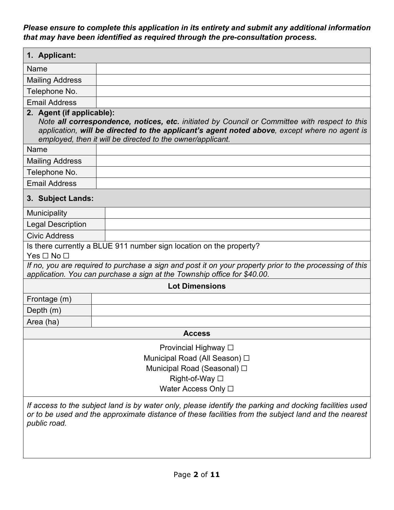*Please ensure to complete this application in its entirety and submit any additional information that may have been identified as required through the pre-consultation process.*

| 1. Applicant:                                                                                                                                                                                                                                                                            |                                                                                                                                                                                                                 |  |
|------------------------------------------------------------------------------------------------------------------------------------------------------------------------------------------------------------------------------------------------------------------------------------------|-----------------------------------------------------------------------------------------------------------------------------------------------------------------------------------------------------------------|--|
| Name                                                                                                                                                                                                                                                                                     |                                                                                                                                                                                                                 |  |
| <b>Mailing Address</b>                                                                                                                                                                                                                                                                   |                                                                                                                                                                                                                 |  |
| Telephone No.                                                                                                                                                                                                                                                                            |                                                                                                                                                                                                                 |  |
| <b>Email Address</b>                                                                                                                                                                                                                                                                     |                                                                                                                                                                                                                 |  |
| 2. Agent (if applicable):<br>Note all correspondence, notices, etc. initiated by Council or Committee with respect to this<br>application, will be directed to the applicant's agent noted above, except where no agent is<br>employed, then it will be directed to the owner/applicant. |                                                                                                                                                                                                                 |  |
| <b>Name</b>                                                                                                                                                                                                                                                                              |                                                                                                                                                                                                                 |  |
| <b>Mailing Address</b>                                                                                                                                                                                                                                                                   |                                                                                                                                                                                                                 |  |
| Telephone No.                                                                                                                                                                                                                                                                            |                                                                                                                                                                                                                 |  |
| <b>Email Address</b>                                                                                                                                                                                                                                                                     |                                                                                                                                                                                                                 |  |
| 3. Subject Lands:                                                                                                                                                                                                                                                                        |                                                                                                                                                                                                                 |  |
| <b>Municipality</b>                                                                                                                                                                                                                                                                      |                                                                                                                                                                                                                 |  |
| <b>Legal Description</b>                                                                                                                                                                                                                                                                 |                                                                                                                                                                                                                 |  |
| <b>Civic Address</b>                                                                                                                                                                                                                                                                     |                                                                                                                                                                                                                 |  |
| $Yes \Box No \Box$                                                                                                                                                                                                                                                                       | Is there currently a BLUE 911 number sign location on the property?                                                                                                                                             |  |
| If no, you are required to purchase a sign and post it on your property prior to the processing of this<br>application. You can purchase a sign at the Township office for \$40.00.                                                                                                      |                                                                                                                                                                                                                 |  |
|                                                                                                                                                                                                                                                                                          | <b>Lot Dimensions</b>                                                                                                                                                                                           |  |
| Frontage (m)                                                                                                                                                                                                                                                                             |                                                                                                                                                                                                                 |  |
| Depth $(m)$                                                                                                                                                                                                                                                                              |                                                                                                                                                                                                                 |  |
| Area (ha)                                                                                                                                                                                                                                                                                |                                                                                                                                                                                                                 |  |
|                                                                                                                                                                                                                                                                                          | <b>Access</b>                                                                                                                                                                                                   |  |
| Provincial Highway □<br>Municipal Road (All Season) □<br>Municipal Road (Seasonal) □<br>Right-of-Way □<br>Water Access Only □                                                                                                                                                            |                                                                                                                                                                                                                 |  |
| public road.                                                                                                                                                                                                                                                                             | If access to the subject land is by water only, please identify the parking and docking facilities used<br>or to be used and the approximate distance of these facilities from the subject land and the nearest |  |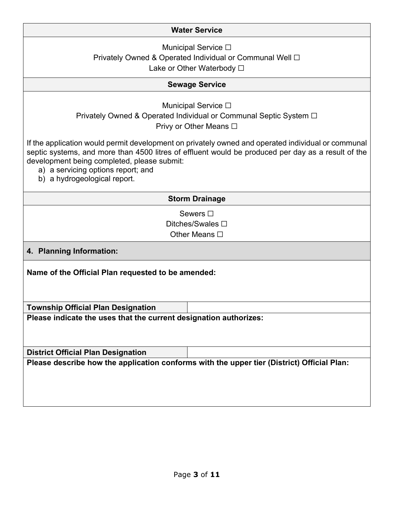### **Water Service**

Municipal Service **□** Privately Owned & Operated Individual or Communal Well □ Lake or Other Waterbody □

### **Sewage Service**

Municipal Service **□** 

Privately Owned & Operated Individual or Communal Septic System □ Privy or Other Means **□** 

If the application would permit development on privately owned and operated individual or communal septic systems, and more than 4500 litres of effluent would be produced per day as a result of the development being completed, please submit:

- a) a servicing options report; and
- b) a hydrogeological report.

#### **Storm Drainage**

Sewers  $□$ Ditches/Swales **□** Other Means □

**4. Planning Information:**

**Name of the Official Plan requested to be amended:**

**Township Official Plan Designation**

**Please indicate the uses that the current designation authorizes:**

**District Official Plan Designation**

**Please describe how the application conforms with the upper tier (District) Official Plan:**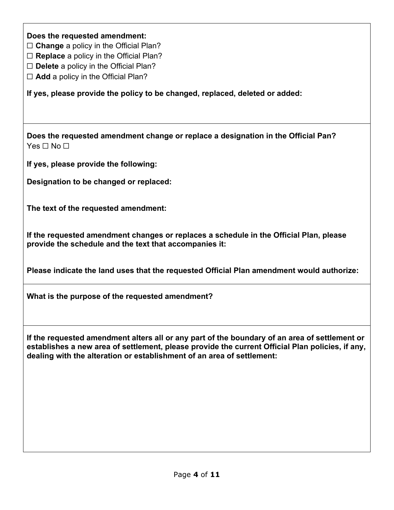**Does the requested amendment:**

☐ **Change** a policy in the Official Plan?

☐ **Replace** a policy in the Official Plan?

☐ **Delete** a policy in the Official Plan?

☐ **Add** a policy in the Official Plan?

**If yes, please provide the policy to be changed, replaced, deleted or added:**

**Does the requested amendment change or replace a designation in the Official Pan?** Yes □ No □

**If yes, please provide the following:**

**Designation to be changed or replaced:**

**The text of the requested amendment:**

**If the requested amendment changes or replaces a schedule in the Official Plan, please provide the schedule and the text that accompanies it:**

**Please indicate the land uses that the requested Official Plan amendment would authorize:**

**What is the purpose of the requested amendment?**

**If the requested amendment alters all or any part of the boundary of an area of settlement or establishes a new area of settlement, please provide the current Official Plan policies, if any, dealing with the alteration or establishment of an area of settlement:**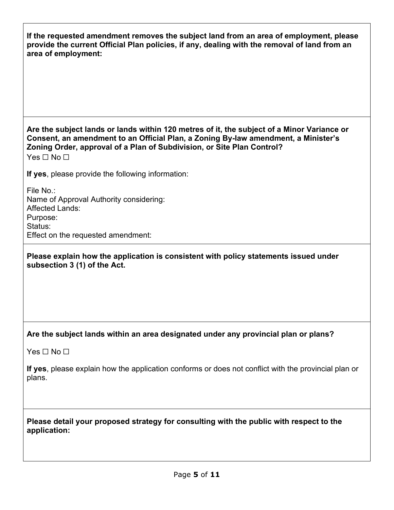| If the requested amendment removes the subject land from an area of employment, please<br>provide the current Official Plan policies, if any, dealing with the removal of land from an<br>area of employment:                                                                            |
|------------------------------------------------------------------------------------------------------------------------------------------------------------------------------------------------------------------------------------------------------------------------------------------|
|                                                                                                                                                                                                                                                                                          |
| Are the subject lands or lands within 120 metres of it, the subject of a Minor Variance or<br>Consent, an amendment to an Official Plan, a Zoning By-law amendment, a Minister's<br>Zoning Order, approval of a Plan of Subdivision, or Site Plan Control?<br>Yes $\square$ No $\square$ |
| If yes, please provide the following information:                                                                                                                                                                                                                                        |
| File No.:<br>Name of Approval Authority considering:<br>Affected Lands:<br>Purpose:<br>Status:<br>Effect on the requested amendment:                                                                                                                                                     |
| Please explain how the application is consistent with policy statements issued under<br>subsection 3 (1) of the Act.                                                                                                                                                                     |
| Are the subject lands within an area designated under any provincial plan or plans?                                                                                                                                                                                                      |
| Yes $\Box$ No $\Box$                                                                                                                                                                                                                                                                     |
| If yes, please explain how the application conforms or does not conflict with the provincial plan or<br>plans.                                                                                                                                                                           |
| Please detail your proposed strategy for consulting with the public with respect to the<br>application:                                                                                                                                                                                  |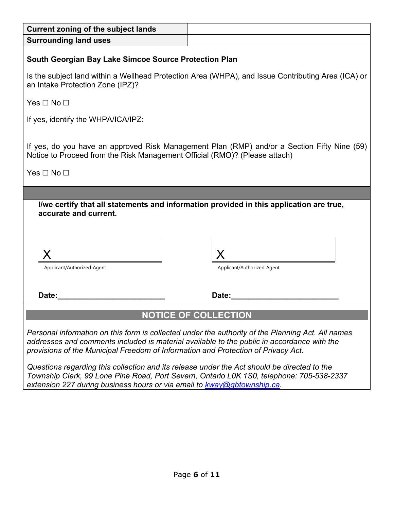| <b>Current zoning of the subject lands</b>                                                                                                                                                                                                                                           |                                                                                                    |
|--------------------------------------------------------------------------------------------------------------------------------------------------------------------------------------------------------------------------------------------------------------------------------------|----------------------------------------------------------------------------------------------------|
| <b>Surrounding land uses</b>                                                                                                                                                                                                                                                         |                                                                                                    |
| <b>South Georgian Bay Lake Simcoe Source Protection Plan</b>                                                                                                                                                                                                                         |                                                                                                    |
| an Intake Protection Zone (IPZ)?                                                                                                                                                                                                                                                     | Is the subject land within a Wellhead Protection Area (WHPA), and Issue Contributing Area (ICA) or |
| Yes $\Box$ No $\Box$                                                                                                                                                                                                                                                                 |                                                                                                    |
| If yes, identify the WHPA/ICA/IPZ:                                                                                                                                                                                                                                                   |                                                                                                    |
| If yes, do you have an approved Risk Management Plan (RMP) and/or a Section Fifty Nine (59)<br>Notice to Proceed from the Risk Management Official (RMO)? (Please attach)                                                                                                            |                                                                                                    |
| Yes $\Box$ No $\Box$                                                                                                                                                                                                                                                                 |                                                                                                    |
|                                                                                                                                                                                                                                                                                      |                                                                                                    |
| accurate and current.                                                                                                                                                                                                                                                                | I/we certify that all statements and information provided in this application are true,            |
|                                                                                                                                                                                                                                                                                      |                                                                                                    |
| Applicant/Authorized Agent                                                                                                                                                                                                                                                           | Applicant/Authorized Agent                                                                         |
| Date:                                                                                                                                                                                                                                                                                | Date:                                                                                              |
|                                                                                                                                                                                                                                                                                      | <b>NOTICE OF COLLECTION</b>                                                                        |
| Personal information on this form is collected under the authority of the Planning Act. All names<br>addresses and comments included is material available to the public in accordance with the<br>provisions of the Municipal Freedom of Information and Protection of Privacy Act. |                                                                                                    |
| Questions regarding this collection and its release under the Act should be directed to the<br>Township Clerk, 99 Lone Pine Road, Port Severn, Ontario L0K 1S0, telephone: 705-538-2337                                                                                              |                                                                                                    |

*extension 227 during business hours or via email to [kway@gbtownship.ca.](mailto:kway@gbtownship.ca)*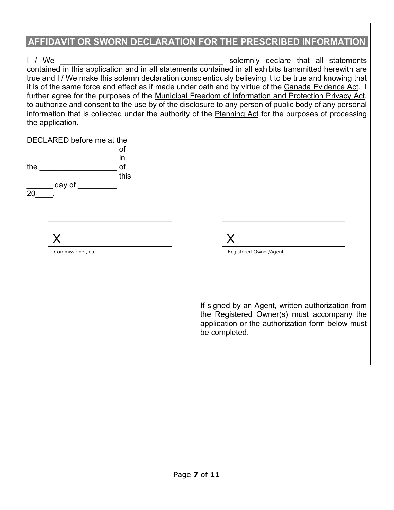# **AFFIDAVIT OR SWORN DECLARATION FOR THE PRESCRIBED INFORMATION**

| 1 / We<br>the application.                  | contained in this application and in all statements contained in all exhibits transmitted herewith are<br>true and I / We make this solemn declaration conscientiously believing it to be true and knowing that<br>it is of the same force and effect as if made under oath and by virtue of the Canada Evidence Act. I<br>further agree for the purposes of the Municipal Freedom of Information and Protection Privacy Act,<br>to authorize and consent to the use by of the disclosure to any person of public body of any personal<br>information that is collected under the authority of the Planning Act for the purposes of processing | solemnly declare that all statements                                                                                                                |
|---------------------------------------------|------------------------------------------------------------------------------------------------------------------------------------------------------------------------------------------------------------------------------------------------------------------------------------------------------------------------------------------------------------------------------------------------------------------------------------------------------------------------------------------------------------------------------------------------------------------------------------------------------------------------------------------------|-----------------------------------------------------------------------------------------------------------------------------------------------------|
| DECLARED before me at the                   |                                                                                                                                                                                                                                                                                                                                                                                                                                                                                                                                                                                                                                                |                                                                                                                                                     |
|                                             | ot                                                                                                                                                                                                                                                                                                                                                                                                                                                                                                                                                                                                                                             |                                                                                                                                                     |
| the <u>________________________________</u> | in<br>of                                                                                                                                                                                                                                                                                                                                                                                                                                                                                                                                                                                                                                       |                                                                                                                                                     |
|                                             | this                                                                                                                                                                                                                                                                                                                                                                                                                                                                                                                                                                                                                                           |                                                                                                                                                     |
| $\equiv$ day of $\equiv$<br>20              |                                                                                                                                                                                                                                                                                                                                                                                                                                                                                                                                                                                                                                                |                                                                                                                                                     |
|                                             |                                                                                                                                                                                                                                                                                                                                                                                                                                                                                                                                                                                                                                                |                                                                                                                                                     |
| X                                           | X                                                                                                                                                                                                                                                                                                                                                                                                                                                                                                                                                                                                                                              |                                                                                                                                                     |
| Commissioner, etc.                          |                                                                                                                                                                                                                                                                                                                                                                                                                                                                                                                                                                                                                                                | Registered Owner/Agent                                                                                                                              |
|                                             |                                                                                                                                                                                                                                                                                                                                                                                                                                                                                                                                                                                                                                                |                                                                                                                                                     |
|                                             |                                                                                                                                                                                                                                                                                                                                                                                                                                                                                                                                                                                                                                                |                                                                                                                                                     |
|                                             | be completed.                                                                                                                                                                                                                                                                                                                                                                                                                                                                                                                                                                                                                                  | If signed by an Agent, written authorization from<br>the Registered Owner(s) must accompany the<br>application or the authorization form below must |
|                                             |                                                                                                                                                                                                                                                                                                                                                                                                                                                                                                                                                                                                                                                |                                                                                                                                                     |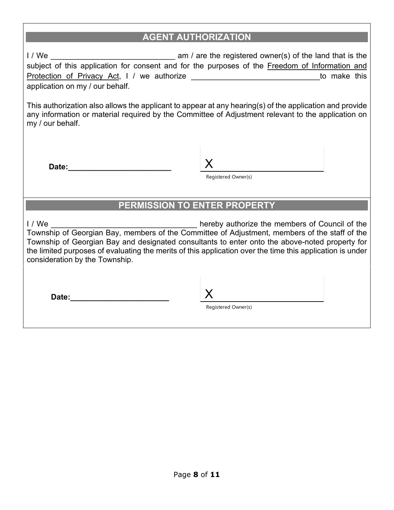## **AGENT AUTHORIZATION**

I / We \_\_\_\_\_\_\_\_\_\_\_\_\_\_\_\_\_\_\_\_\_\_\_\_\_\_\_\_\_ am / are the registered owner(s) of the land that is the subject of this application for consent and for the purposes of the Freedom of Information and Protection of Privacy Act, I / we authorize \_\_\_\_\_\_\_\_\_\_\_\_\_\_\_\_\_\_\_\_\_\_\_\_\_\_\_\_\_\_\_\_\_\_to make this application on my / our behalf.

This authorization also allows the applicant to appear at any hearing(s) of the application and provide any information or material required by the Committee of Adjustment relevant to the application on my / our behalf.

Date:

Registered Owner(s)

## **PERMISSION TO ENTER PROPERTY**

I / We \_\_\_\_\_\_\_\_\_\_\_\_\_\_\_\_\_\_\_\_\_\_\_\_\_\_\_\_\_\_\_\_\_\_ hereby authorize the members of Council of the Township of Georgian Bay, members of the Committee of Adjustment, members of the staff of the Township of Georgian Bay and designated consultants to enter onto the above-noted property for the limited purposes of evaluating the merits of this application over the time this application is under consideration by the Township.

**Date:\_\_\_\_\_\_\_\_\_\_\_\_\_\_\_\_\_\_\_\_\_\_\_** X

Registered Owner(s)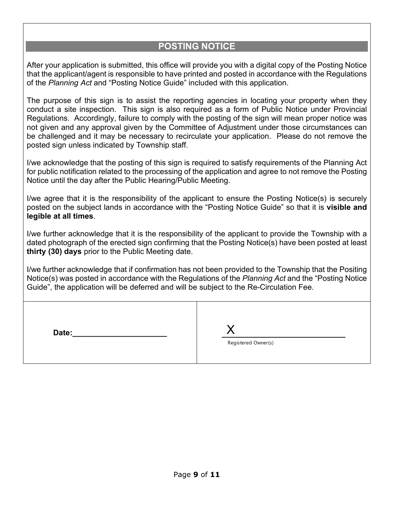## **POSTING NOTICE**

After your application is submitted, this office will provide you with a digital copy of the Posting Notice that the applicant/agent is responsible to have printed and posted in accordance with the Regulations of the *Planning Act* and "Posting Notice Guide" included with this application.

The purpose of this sign is to assist the reporting agencies in locating your property when they conduct a site inspection. This sign is also required as a form of Public Notice under Provincial Regulations. Accordingly, failure to comply with the posting of the sign will mean proper notice was not given and any approval given by the Committee of Adjustment under those circumstances can be challenged and it may be necessary to recirculate your application. Please do not remove the posted sign unless indicated by Township staff.

I/we acknowledge that the posting of this sign is required to satisfy requirements of the Planning Act for public notification related to the processing of the application and agree to not remove the Posting Notice until the day after the Public Hearing/Public Meeting.

I/we agree that it is the responsibility of the applicant to ensure the Posting Notice(s) is securely posted on the subject lands in accordance with the "Posting Notice Guide" so that it is **visible and legible at all times**.

I/we further acknowledge that it is the responsibility of the applicant to provide the Township with a dated photograph of the erected sign confirming that the Posting Notice(s) have been posted at least **thirty (30) days** prior to the Public Meeting date.

I/we further acknowledge that if confirmation has not been provided to the Township that the Positing Notice(s) was posted in accordance with the Regulations of the *Planning Act* and the "Posting Notice Guide", the application will be deferred and will be subject to the Re-Circulation Fee.

| Date: |                     |
|-------|---------------------|
|       | Registered Owner(s) |
|       |                     |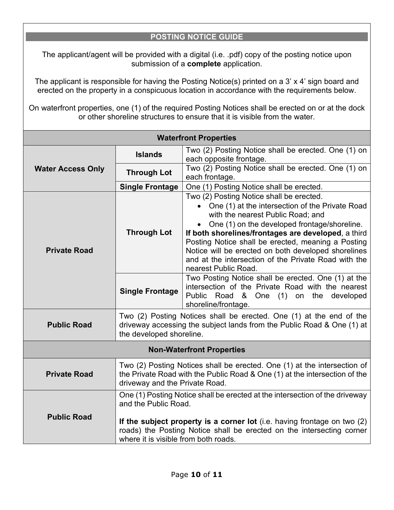## **POSTING NOTICE GUIDE**

The applicant/agent will be provided with a digital (i.e. .pdf) copy of the posting notice upon submission of a **complete** application.

The applicant is responsible for having the Posting Notice(s) printed on a 3' x 4' sign board and erected on the property in a conspicuous location in accordance with the requirements below.

On waterfront properties, one (1) of the required Posting Notices shall be erected on or at the dock or other shoreline structures to ensure that it is visible from the water.

| <b>Waterfront Properties</b> |                                                                                                                                                                                          |                                                                                                                                                                                                                                                                                                                                                                                                                                        |
|------------------------------|------------------------------------------------------------------------------------------------------------------------------------------------------------------------------------------|----------------------------------------------------------------------------------------------------------------------------------------------------------------------------------------------------------------------------------------------------------------------------------------------------------------------------------------------------------------------------------------------------------------------------------------|
| <b>Water Access Only</b>     | <b>Islands</b>                                                                                                                                                                           | Two (2) Posting Notice shall be erected. One (1) on<br>each opposite frontage.                                                                                                                                                                                                                                                                                                                                                         |
|                              | <b>Through Lot</b>                                                                                                                                                                       | Two (2) Posting Notice shall be erected. One (1) on<br>each frontage.                                                                                                                                                                                                                                                                                                                                                                  |
|                              | <b>Single Frontage</b>                                                                                                                                                                   | One (1) Posting Notice shall be erected.                                                                                                                                                                                                                                                                                                                                                                                               |
| <b>Private Road</b>          | <b>Through Lot</b>                                                                                                                                                                       | Two (2) Posting Notice shall be erected.<br>• One (1) at the intersection of the Private Road<br>with the nearest Public Road; and<br>One (1) on the developed frontage/shoreline.<br>If both shorelines/frontages are developed, a third<br>Posting Notice shall be erected, meaning a Posting<br>Notice will be erected on both developed shorelines<br>and at the intersection of the Private Road with the<br>nearest Public Road. |
|                              | <b>Single Frontage</b>                                                                                                                                                                   | Two Posting Notice shall be erected. One (1) at the<br>intersection of the Private Road with the nearest<br>Public Road & One (1) on the developed<br>shoreline/frontage.                                                                                                                                                                                                                                                              |
| <b>Public Road</b>           | Two (2) Posting Notices shall be erected. One (1) at the end of the<br>driveway accessing the subject lands from the Public Road & One (1) at<br>the developed shoreline.                |                                                                                                                                                                                                                                                                                                                                                                                                                                        |
|                              |                                                                                                                                                                                          | <b>Non-Waterfront Properties</b>                                                                                                                                                                                                                                                                                                                                                                                                       |
| <b>Private Road</b>          | Two (2) Posting Notices shall be erected. One (1) at the intersection of<br>the Private Road with the Public Road & One (1) at the intersection of the<br>driveway and the Private Road. |                                                                                                                                                                                                                                                                                                                                                                                                                                        |
| <b>Public Road</b>           | and the Public Road.                                                                                                                                                                     | One (1) Posting Notice shall be erected at the intersection of the driveway                                                                                                                                                                                                                                                                                                                                                            |
|                              | where it is visible from both roads.                                                                                                                                                     | If the subject property is a corner lot (i.e. having frontage on two (2)<br>roads) the Posting Notice shall be erected on the intersecting corner                                                                                                                                                                                                                                                                                      |